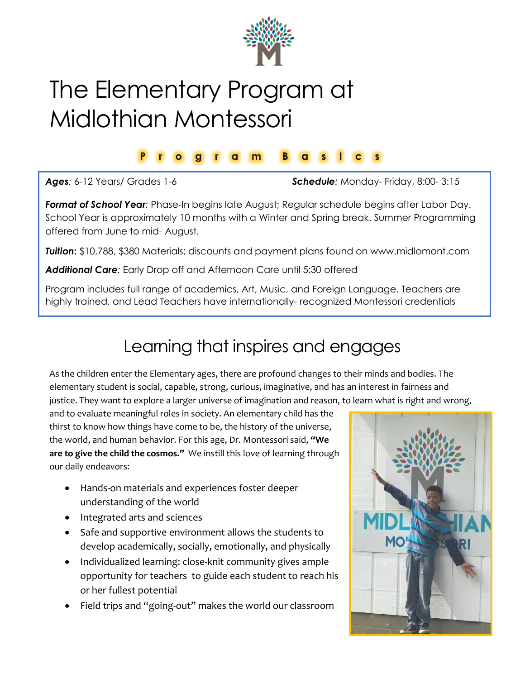

## The Elementary Program at Midlothian Montessori

## **P r o g r a m B a s I c s**

*Ages:* 6-12 Years/ Grades 1-6 *Schedule:* Monday- Friday, 8:00- 3:15

*Format of School Year:* Phase-In begins late August; Regular schedule begins after Labor Day. School Year is approximately 10 months with a Winter and Spring break. Summer Programming offered from June to mid- August.

*Tuition***:** \$10,788, \$380 Materials; discounts and payment plans found on www.midlomont.com

*Additional Care:* Early Drop off and Afternoon Care until 5:30 offered

Program includes full range of academics, Art, Music, and Foreign Language. Teachers are highly trained, and Lead Teachers have internationally- recognized Montessori credentials

## Learning that inspires and engages

As the children enter the Elementary ages, there are profound changes to their minds and bodies. The elementary student is social, capable, strong, curious, imaginative, and has an interest in fairness and justice. They want to explore a larger universe of imagination and reason, to learn what is right and wrong,

and to evaluate meaningful roles in society. An elementary child has the thirst to know how things have come to be, the history of the universe, the world, and human behavior. For this age, Dr. Montessori said, **"We are to give the child the cosmos."** We instill this love of learning through our daily endeavors:

- Hands-on materials and experiences foster deeper understanding of the world
- Integrated arts and sciences
- Safe and supportive environment allows the students to develop academically, socially, emotionally, and physically
- Individualized learning: close-knit community gives ample opportunity for teachers to guide each student to reach his or her fullest potential
- Field trips and "going-out" makes the world our classroom